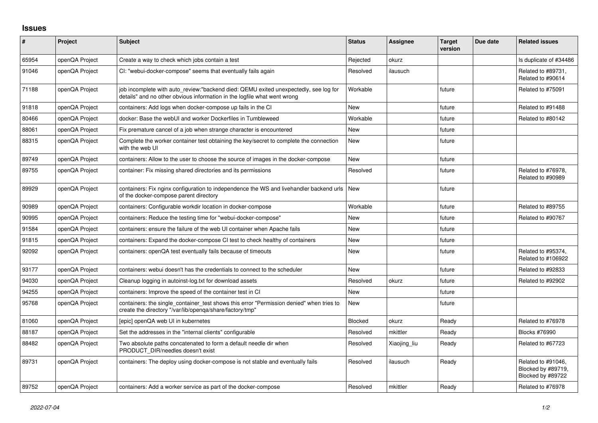## **Issues**

| $\sharp$ | Project        | <b>Subject</b>                                                                                                                                                   | <b>Status</b> | <b>Assignee</b> | <b>Target</b><br>version | Due date | <b>Related issues</b>                                         |
|----------|----------------|------------------------------------------------------------------------------------------------------------------------------------------------------------------|---------------|-----------------|--------------------------|----------|---------------------------------------------------------------|
| 65954    | openQA Project | Create a way to check which jobs contain a test                                                                                                                  | Rejected      | okurz           |                          |          | Is duplicate of #34486                                        |
| 91046    | openQA Project | CI: "webui-docker-compose" seems that eventually fails again                                                                                                     | Resolved      | ilausuch        |                          |          | Related to #89731,<br>Related to #90614                       |
| 71188    | openQA Project | job incomplete with auto review:"backend died: QEMU exited unexpectedly, see log for<br>details" and no other obvious information in the logfile what went wrong | Workable      |                 | future                   |          | Related to #75091                                             |
| 91818    | openQA Project | containers: Add logs when docker-compose up fails in the CI                                                                                                      | <b>New</b>    |                 | future                   |          | Related to #91488                                             |
| 80466    | openQA Project | docker: Base the webUI and worker Dockerfiles in Tumbleweed                                                                                                      | Workable      |                 | future                   |          | Related to #80142                                             |
| 88061    | openQA Project | Fix premature cancel of a job when strange character is encountered                                                                                              | <b>New</b>    |                 | future                   |          |                                                               |
| 88315    | openQA Project | Complete the worker container test obtaining the key/secret to complete the connection<br>with the web UI                                                        | New           |                 | future                   |          |                                                               |
| 89749    | openQA Project | containers: Allow to the user to choose the source of images in the docker-compose                                                                               | <b>New</b>    |                 | future                   |          |                                                               |
| 89755    | openQA Project | container: Fix missing shared directories and its permissions                                                                                                    | Resolved      |                 | future                   |          | Related to #76978,<br>Related to #90989                       |
| 89929    | openQA Project | containers: Fix nginx configuration to independence the WS and livehandler backend urls<br>of the docker-compose parent directory                                | New           |                 | future                   |          |                                                               |
| 90989    | openQA Project | containers: Configurable workdir location in docker-compose                                                                                                      | Workable      |                 | future                   |          | Related to #89755                                             |
| 90995    | openQA Project | containers: Reduce the testing time for "webui-docker-compose"                                                                                                   | <b>New</b>    |                 | future                   |          | Related to #90767                                             |
| 91584    | openQA Project | containers: ensure the failure of the web UI container when Apache fails                                                                                         | <b>New</b>    |                 | future                   |          |                                                               |
| 91815    | openQA Project | containers: Expand the docker-compose CI test to check healthy of containers                                                                                     | <b>New</b>    |                 | future                   |          |                                                               |
| 92092    | openQA Project | containers: openQA test eventually fails because of timeouts                                                                                                     | <b>New</b>    |                 | future                   |          | Related to #95374,<br>Related to #106922                      |
| 93177    | openQA Project | containers: webui doesn't has the credentials to connect to the scheduler                                                                                        | <b>New</b>    |                 | future                   |          | Related to #92833                                             |
| 94030    | openQA Project | Cleanup logging in autoinst-log.txt for download assets                                                                                                          | Resolved      | okurz           | future                   |          | Related to #92902                                             |
| 94255    | openQA Project | containers: Improve the speed of the container test in CI                                                                                                        | <b>New</b>    |                 | future                   |          |                                                               |
| 95768    | openQA Project | containers: the single_container_test shows this error "Permission denied" when tries to<br>create the directory "/var/lib/openqa/share/factory/tmp"             | <b>New</b>    |                 | future                   |          |                                                               |
| 81060    | openQA Project | [epic] openQA web UI in kubernetes                                                                                                                               | Blocked       | okurz           | Ready                    |          | Related to #76978                                             |
| 88187    | openQA Project | Set the addresses in the "internal clients" configurable                                                                                                         | Resolved      | mkittler        | Ready                    |          | <b>Blocks #76990</b>                                          |
| 88482    | openQA Project | Two absolute paths concatenated to form a default needle dir when<br>PRODUCT DIR/needles doesn't exist                                                           | Resolved      | Xiaojing_liu    | Ready                    |          | Related to #67723                                             |
| 89731    | openQA Project | containers: The deploy using docker-compose is not stable and eventually fails                                                                                   | Resolved      | ilausuch        | Ready                    |          | Related to #91046,<br>Blocked by #89719,<br>Blocked by #89722 |
| 89752    | openQA Project | containers: Add a worker service as part of the docker-compose                                                                                                   | Resolved      | mkittler        | Ready                    |          | Related to #76978                                             |